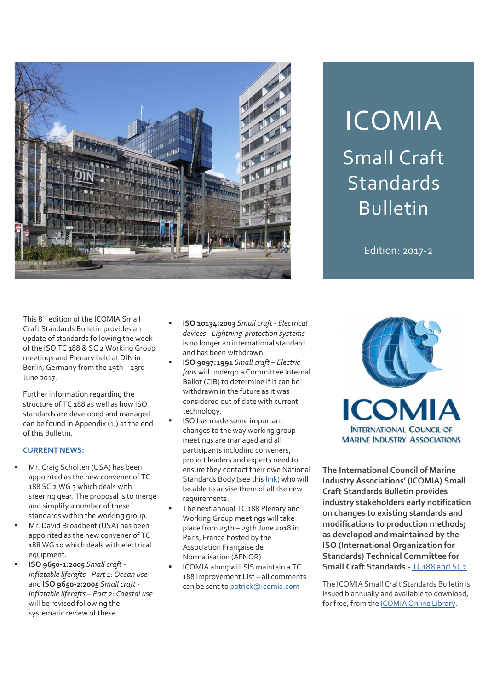

# ICOMIA Small Craft Standards Bulletin

Edition: 2017-2

This 8th edition of the ICOMIA Small Craft Standards Bulletin provides an update of standards following the week of the ISO TC 188 & SC 2 Working Group meetings and Plenary held at DIN in Berlin, Germany from the 19th - 23rd June 2017.

Further information regarding the structure of TC 188 as well as how ISO standards are developed and managed can be found in Appendix (1.) at the end of this Bulletin.

# CURRENT NEWS:

- Mr. Craig Scholten (USA) has been appointed as the new convener of TC 188 SC 2 WG 3 which deals with steering gear. The proposal is to merge and simplify a number of these standards within the working group.
- Mr. David Broadbent (USA) has been appointed as the new convener of TC 188 WG 10 which deals with electrical equipment.
- ISO 9650-1:2005 Small craft Inflatable liferafts - Part 1: Ocean use and **ISO 9650-2:2005** Small craft -Inflatable liferafts – Part 2: Coastal use will be revised following the systematic review of these.
- ISO 10134:2003 Small craft Electrical devices - Lightning-protection systems is no longer an international standard and has been withdrawn.
- ISO 9097:1991 Small craft Electric fans will undergo a Committee Internal Ballot (CIB) to determine if it can be considered out of date with current technology.
- ISO has made some important changes to the way working group meetings are managed and all participants including conveners, project leaders and experts need to ensure they contact their own National Standards Body (see this link) who will be able to advise them of all the new requirements.
- The next annual TC 188 Plenary and Working Group meetings will take place from 25th – 29th June 2018 in Paris, France hosted by the Association Française de Normalisation (AFNOR)
- ICOMIA along will SIS maintain a TC 188 Improvement List – all comments can be sent to patrick@icomia.com



The International Council of Marine Industry Associations' (ICOMIA) Small Craft Standards Bulletin provides industry stakeholders early notification on changes to existing standards and modifications to production methods; as developed and maintained by the ISO (International Organization for Standards) Technical Committee for Small Craft Standards - TC188 and SC2

The ICOMIA Small Craft Standards Bulletin is issued biannually and available to download, for free, from the ICOMIA Online Library.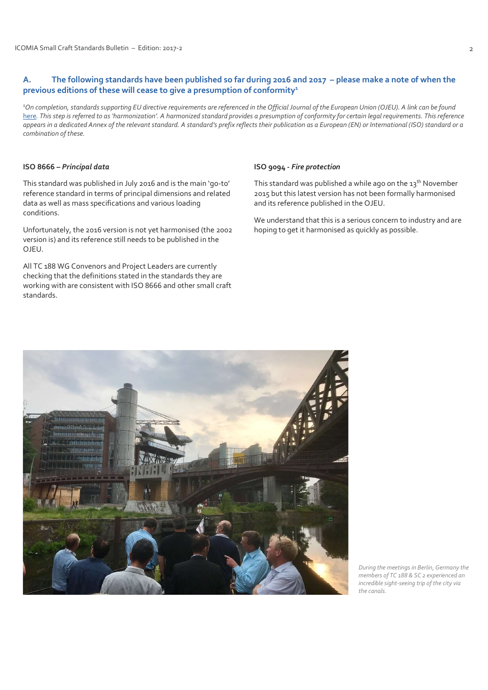# A. The following standards have been published so far during 2016 and 2017 – please make a note of when the previous editions of these will cease to give a presumption of conformity<sup>1</sup>

<sup>1</sup>On completion, standards supporting EU directive requirements are referenced in the Official Journal of the European Union (OJEU). A link can be found here. This step is referred to as 'harmonization'. A harmonized standard provides a presumption of conformity for certain legal requirements. This reference appears in a dedicated Annex of the relevant standard. A standard's prefix reflects their publication as a European (EN) or International (ISO) standard or a combination of these.

## ISO 8666 – Principal data

J

This standard was published in July 2016 and is the main 'go-to' reference standard in terms of principal dimensions and related data as well as mass specifications and various loading conditions.

Unfortunately, the 2016 version is not yet harmonised (the 2002 version is) and its reference still needs to be published in the OJEU.

All TC 188 WG Convenors and Project Leaders are currently checking that the definitions stated in the standards they are working with are consistent with ISO 8666 and other small craft standards.

#### ISO 9094 - Fire protection

This standard was published a while ago on the  $13<sup>th</sup>$  November 2015 but this latest version has not been formally harmonised and its reference published in the OJEU.

We understand that this is a serious concern to industry and are hoping to get it harmonised as quickly as possible.



During the meetings in Berlin, Germany the members of TC 188 & SC 2 experienced an incredible sight-seeing trip of the city via the canals.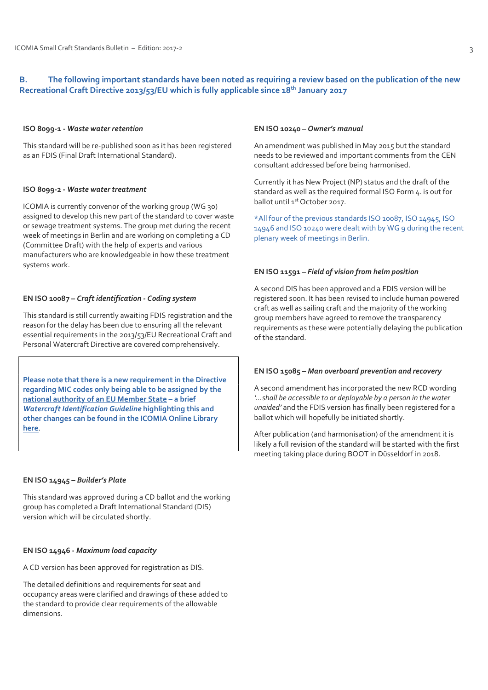# B. The following important standards have been noted as requiring a review based on the publication of the new Recreational Craft Directive 2013/53/EU which is fully applicable since 18<sup>th</sup> January 2017

#### ISO 8099-1 - Waste water retention

This standard will be re-published soon as it has been registered as an FDIS (Final Draft International Standard).

#### ISO 8099-2 - Waste water treatment

ICOMIA is currently convenor of the working group (WG 30) assigned to develop this new part of the standard to cover waste or sewage treatment systems. The group met during the recent week of meetings in Berlin and are working on completing a CD (Committee Draft) with the help of experts and various manufacturers who are knowledgeable in how these treatment systems work.

#### EN ISO 10087 – Craft identification - Coding system

This standard is still currently awaiting FDIS registration and the reason for the delay has been due to ensuring all the relevant essential requirements in the 2013/53/EU Recreational Craft and Personal Watercraft Directive are covered comprehensively.

Please note that there is a new requirement in the Directive regarding MIC codes only being able to be assigned by the national authority of an EU Member State – a brief Watercraft Identification Guideline highlighting this and other changes can be found in the ICOMIA Online Library here.

#### EN ISO 14945 – Builder's Plate

This standard was approved during a CD ballot and the working group has completed a Draft International Standard (DIS) version which will be circulated shortly.

## EN ISO 14946 - Maximum load capacity

A CD version has been approved for registration as DIS.

The detailed definitions and requirements for seat and occupancy areas were clarified and drawings of these added to the standard to provide clear requirements of the allowable dimensions.

#### EN ISO 10240 – Owner's manual

An amendment was published in May 2015 but the standard needs to be reviewed and important comments from the CEN consultant addressed before being harmonised.

Currently it has New Project (NP) status and the draft of the standard as well as the required formal ISO Form 4. is out for ballot until 1<sup>st</sup> October 2017.

\*All four of the previous standards ISO 10087, ISO 14945, ISO 14946 and ISO 10240 were dealt with by WG 9 during the recent plenary week of meetings in Berlin.

#### EN ISO 11591 – Field of vision from helm position

A second DIS has been approved and a FDIS version will be registered soon. It has been revised to include human powered craft as well as sailing craft and the majority of the working group members have agreed to remove the transparency requirements as these were potentially delaying the publication of the standard.

## EN ISO 15085 – Man overboard prevention and recovery

A second amendment has incorporated the new RCD wording '…shall be accessible to or deployable by a person in the water unaided' and the FDIS version has finally been registered for a ballot which will hopefully be initiated shortly.

After publication (and harmonisation) of the amendment it is likely a full revision of the standard will be started with the first meeting taking place during BOOT in Düsseldorf in 2018.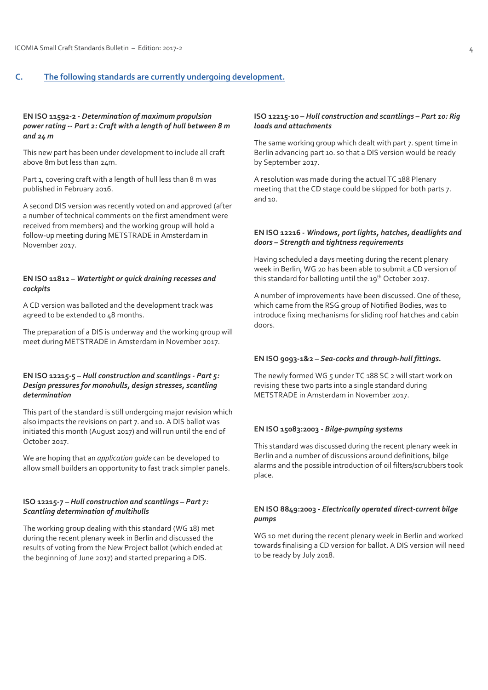# C. The following standards are currently undergoing development.

#### EN ISO 11592-2 - Determination of maximum propulsion power rating -- Part 2: Craft with a length of hull between 8 m and  $24 m$

This new part has been under development to include all craft above 8m but less than 24m.

Part 1, covering craft with a length of hull less than 8 m was published in February 2016.

A second DIS version was recently voted on and approved (after a number of technical comments on the first amendment were received from members) and the working group will hold a follow-up meeting during METSTRADE in Amsterdam in November 2017.

#### EN ISO 11812 – Watertight or quick draining recesses and cockpits

A CD version was balloted and the development track was agreed to be extended to 48 months.

The preparation of a DIS is underway and the working group will meet during METSTRADE in Amsterdam in November 2017.

## EN ISO 12215-5 – Hull construction and scantlings - Part 5: Design pressures for monohulls, design stresses, scantling determination

This part of the standard is still undergoing major revision which also impacts the revisions on part 7. and 10. A DIS ballot was initiated this month (August 2017) and will run until the end of October 2017.

We are hoping that an *application quide* can be developed to allow small builders an opportunity to fast track simpler panels.

## ISO 12215-7 – Hull construction and scantlings – Part 7: Scantling determination of multihulls

The working group dealing with this standard (WG 18) met during the recent plenary week in Berlin and discussed the results of voting from the New Project ballot (which ended at the beginning of June 2017) and started preparing a DIS.

## ISO 12215-10 – Hull construction and scantlings – Part 10: Rig loads and attachments

The same working group which dealt with part 7. spent time in Berlin advancing part 10. so that a DIS version would be ready by September 2017.

A resolution was made during the actual TC 188 Plenary meeting that the CD stage could be skipped for both parts 7. and 10.

## EN ISO 12216 - Windows, port lights, hatches, deadlights and doors – Strength and tightness requirements

Having scheduled a days meeting during the recent plenary week in Berlin, WG 20 has been able to submit a CD version of this standard for balloting until the 19<sup>th</sup> October 2017.

A number of improvements have been discussed. One of these, which came from the RSG group of Notified Bodies, was to introduce fixing mechanisms for sliding roof hatches and cabin doors.

## EN ISO 9093-1&2 – Sea-cocks and through-hull fittings.

The newly formed WG 5 under TC 188 SC 2 will start work on revising these two parts into a single standard during METSTRADE in Amsterdam in November 2017.

#### EN ISO 15083:2003 - Bilge-pumping systems

This standard was discussed during the recent plenary week in Berlin and a number of discussions around definitions, bilge alarms and the possible introduction of oil filters/scrubbers took place.

## EN ISO 8849:2003 - Electrically operated direct-current bilge pumps

WG 10 met during the recent plenary week in Berlin and worked towards finalising a CD version for ballot. A DIS version will need to be ready by July 2018.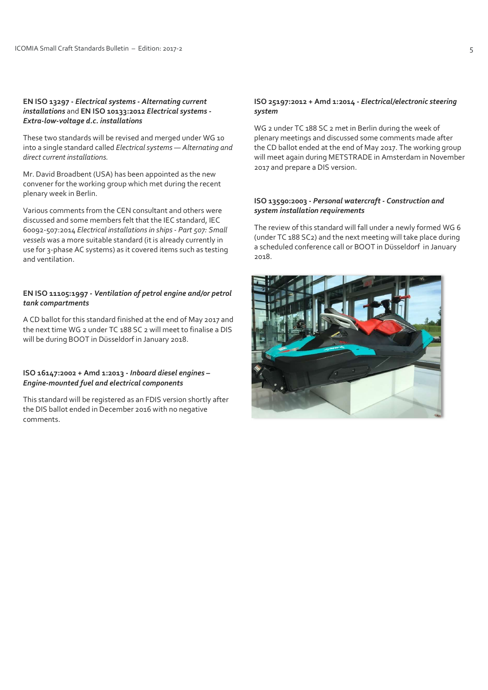#### EN ISO 13297 - Electrical systems - Alternating current installations and EN ISO 10133:2012 Electrical systems -Extra-low-voltage d.c. installations

These two standards will be revised and merged under WG 10 into a single standard called Electrical systems — Alternating and direct current installations.

Mr. David Broadbent (USA) has been appointed as the new convener for the working group which met during the recent plenary week in Berlin.

Various comments from the CEN consultant and others were discussed and some members felt that the IEC standard, IEC 60092-507:2014 Electrical installations in ships - Part 507: Small vessels was a more suitable standard (it is already currently in use for 3-phase AC systems) as it covered items such as testing and ventilation.

## EN ISO 11105:1997 - Ventilation of petrol engine and/or petrol tank compartments

A CD ballot for this standard finished at the end of May 2017 and the next time WG 2 under TC 188 SC 2 will meet to finalise a DIS will be during BOOT in Düsseldorf in January 2018.

## ISO 16147:2002 + Amd 1:2013 - Inboard diesel engines – Engine-mounted fuel and electrical components

This standard will be registered as an FDIS version shortly after the DIS ballot ended in December 2016 with no negative comments.

#### ISO 25197:2012 + Amd 1:2014 - Electrical/electronic steering system

WG 2 under TC 188 SC 2 met in Berlin during the week of plenary meetings and discussed some comments made after the CD ballot ended at the end of May 2017. The working group will meet again during METSTRADE in Amsterdam in November 2017 and prepare a DIS version.

## ISO 13590:2003 - Personal watercraft - Construction and system installation requirements

The review of this standard will fall under a newly formed WG 6 (under TC 188 SC2) and the next meeting will take place during a scheduled conference call or BOOT in Düsseldorf in January 2018.

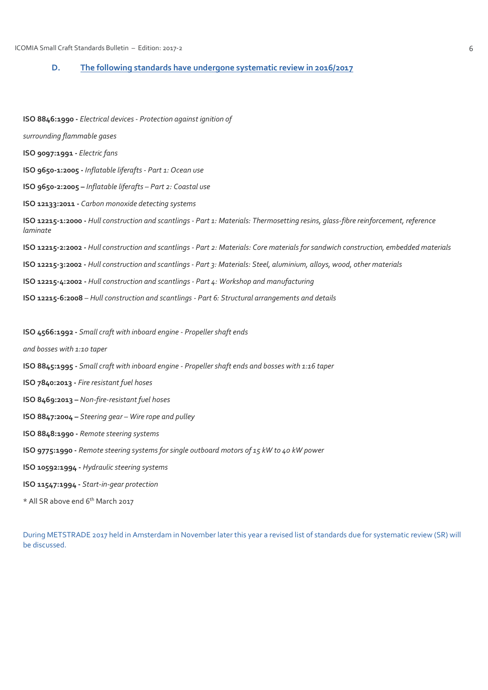# D. The following standards have undergone systematic review in 2016/2017

ISO 8846:1990 - Electrical devices - Protection against ignition of surrounding flammable gases ISO 9097:1991 - Electric fans ISO 9650-1:2005 - Inflatable liferafts - Part 1: Ocean use ISO 9650-2:2005 – Inflatable liferafts – Part 2: Coastal use ISO 12133:2011 - Carbon monoxide detecting systems ISO 12215-1:2000 - Hull construction and scantlings - Part 1: Materials: Thermosetting resins, glass-fibre reinforcement, reference laminate ISO 12215-2:2002 - Hull construction and scantlings - Part 2: Materials: Core materials for sandwich construction, embedded materials ISO 12215-3:2002 - Hull construction and scantlings - Part 3: Materials: Steel, aluminium, alloys, wood, other materials ISO 12215-4:2002 - Hull construction and scantlings - Part 4: Workshop and manufacturing ISO 12215-6:2008 – Hull construction and scantlings - Part 6: Structural arrangements and details ISO 4566:1992 - Small craft with inboard engine - Propeller shaft ends and bosses with 1:10 taper ISO 8845:1995 - Small craft with inboard engine - Propeller shaft ends and bosses with 1:16 taper ISO 7840:2013 - Fire resistant fuel hoses ISO 8469:2013 – Non-fire-resistant fuel hoses ISO 8847:2004 – Steering gear – Wire rope and pulley ISO 8848:1990 - Remote steering systems ISO 9775:1990 - Remote steering systems for single outboard motors of 15 kW to 40 kW power ISO 10592:1994 - Hydraulic steering systems ISO 11547:1994 - Start-in-gear protection \* All SR above end 6th March 2017

During METSTRADE 2017 held in Amsterdam in November later this year a revised list of standards due for systematic review (SR) will be discussed.